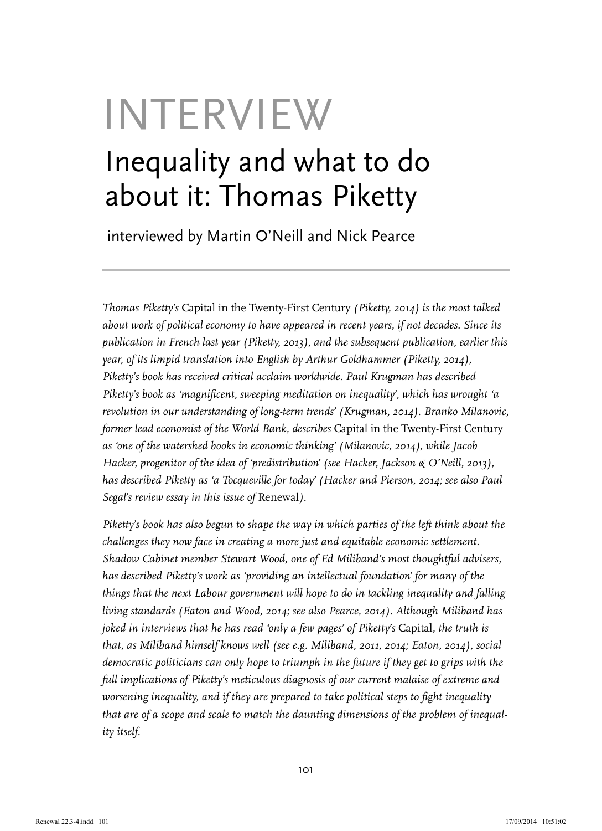## INTERVIEW Inequality and what to do about it: Thomas Piketty

interviewed by Martin O'Neill and Nick Pearce

*Thomas Piketty's* Capital in the Twenty-First Century *(Piketty, 2014) is the most talked about work of political economy to have appeared in recent years, if not decades. Since its publication in French last year (Piketty, 2013), and the subsequent publication, earlier this year, of its limpid translation into English by Arthur Goldhammer (Piketty, 2014), Piketty's book has received critical acclaim worldwide. Paul Krugman has described Piketty's book as 'magnificent, sweeping meditation on inequality', which has wrought 'a revolution in our understanding of long-term trends' (Krugman, 2014). Branko Milanovic, former lead economist of the World Bank, describes* Capital in the Twenty-First Century *as 'one of the watershed books in economic thinking' (Milanovic, 2014), while Jacob Hacker, progenitor of the idea of 'predistribution' (see Hacker, Jackson & O'Neill, 2013), has described Piketty as 'a Tocqueville for today' (Hacker and Pierson, 2014; see also Paul Segal's review essay in this issue of Renewal).* 

*Piketty's book has also begun to shape the way in which parties of the left think about the challenges they now face in creating a more just and equitable economic settlement. Shadow Cabinet member Stewart Wood, one of Ed Miliband's most thoughtful advisers, has described Piketty's work as 'providing an intellectual foundation' for many of the things that the next Labour government will hope to do in tackling inequality and falling living standards (Eaton and Wood, 2014; see also Pearce, 2014). Although Miliband has joked in interviews that he has read 'only a few pages' of Piketty's* Capital*, the truth is that, as Miliband himself knows well (see e.g. Miliband, 2011, 2014; Eaton, 2014), social democratic politicians can only hope to triumph in the future if they get to grips with the full implications of Piketty's meticulous diagnosis of our current malaise of extreme and worsening inequality, and if they are prepared to take political steps to fight inequality that are of a scope and scale to match the daunting dimensions of the problem of inequality itself.*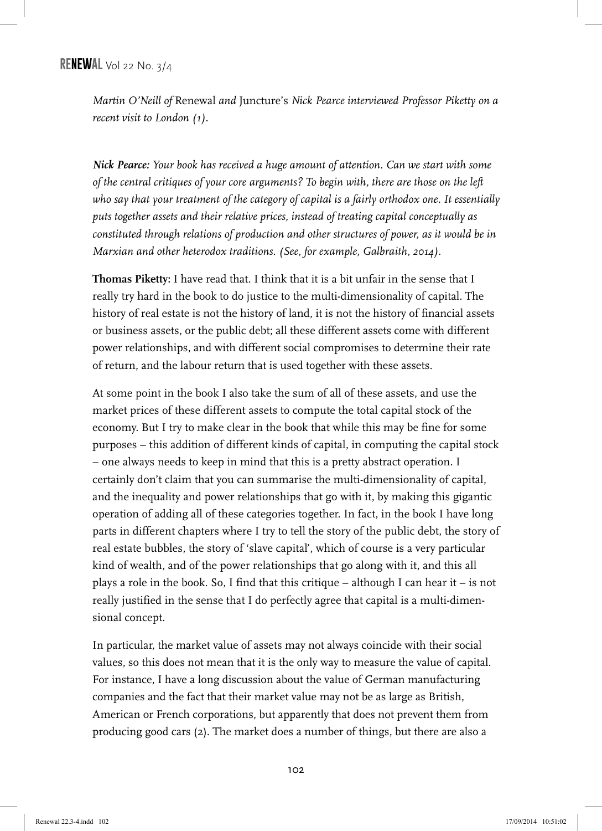## **RENEWAL** Vol 22 No. 3/4

*Martin O'Neill of* Renewal *and* Juncture's *Nick Pearce interviewed Professor Piketty on a recent visit to London (1).*

*Nick Pearce: Your book has received a huge amount of attention. Can we start with some of the central critiques of your core arguments? To begin with, there are those on the left who say that your treatment of the category of capital is a fairly orthodox one. It essentially puts together assets and their relative prices, instead of treating capital conceptually as constituted through relations of production and other structures of power, as it would be in Marxian and other heterodox traditions. (See, for example, Galbraith, 2014).*

**Thomas Piketty:** I have read that. I think that it is a bit unfair in the sense that I really try hard in the book to do justice to the multi-dimensionality of capital. The history of real estate is not the history of land, it is not the history of financial assets or business assets, or the public debt; all these different assets come with different power relationships, and with different social compromises to determine their rate of return, and the labour return that is used together with these assets.

At some point in the book I also take the sum of all of these assets, and use the market prices of these different assets to compute the total capital stock of the economy. But I try to make clear in the book that while this may be fine for some purposes – this addition of different kinds of capital, in computing the capital stock – one always needs to keep in mind that this is a pretty abstract operation. I certainly don't claim that you can summarise the multi-dimensionality of capital, and the inequality and power relationships that go with it, by making this gigantic operation of adding all of these categories together. In fact, in the book I have long parts in different chapters where I try to tell the story of the public debt, the story of real estate bubbles, the story of 'slave capital', which of course is a very particular kind of wealth, and of the power relationships that go along with it, and this all plays a role in the book. So, I find that this critique – although I can hear it – is not really justified in the sense that I do perfectly agree that capital is a multi-dimensional concept.

In particular, the market value of assets may not always coincide with their social values, so this does not mean that it is the only way to measure the value of capital. For instance, I have a long discussion about the value of German manufacturing companies and the fact that their market value may not be as large as British, American or French corporations, but apparently that does not prevent them from producing good cars (2). The market does a number of things, but there are also a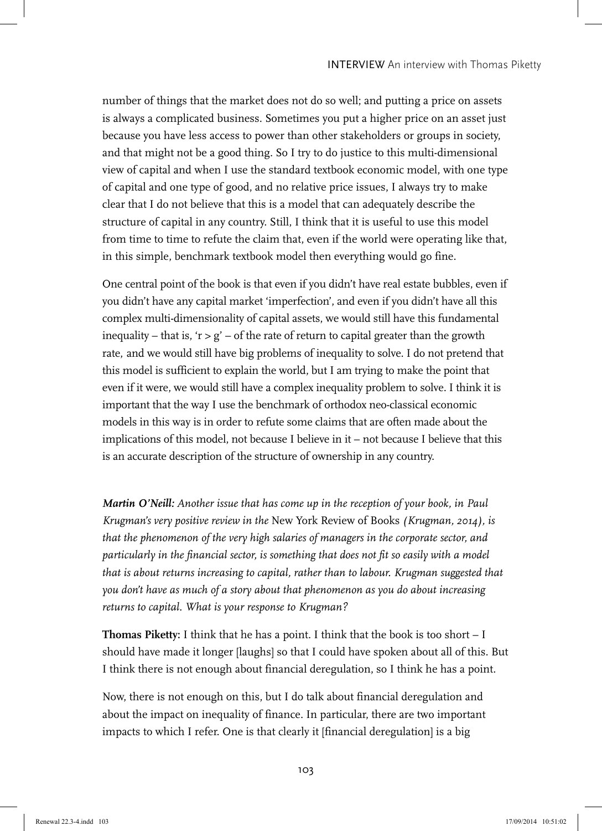number of things that the market does not do so well; and putting a price on assets is always a complicated business. Sometimes you put a higher price on an asset just because you have less access to power than other stakeholders or groups in society, and that might not be a good thing. So I try to do justice to this multi-dimensional view of capital and when I use the standard textbook economic model, with one type of capital and one type of good, and no relative price issues, I always try to make clear that I do not believe that this is a model that can adequately describe the structure of capital in any country. Still, I think that it is useful to use this model from time to time to refute the claim that, even if the world were operating like that, in this simple, benchmark textbook model then everything would go fine.

One central point of the book is that even if you didn't have real estate bubbles, even if you didn't have any capital market 'imperfection', and even if you didn't have all this complex multi-dimensionality of capital assets, we would still have this fundamental inequality – that is, ' $r > g'$  – of the rate of return to capital greater than the growth rate, and we would still have big problems of inequality to solve. I do not pretend that this model is sufficient to explain the world, but I am trying to make the point that even if it were, we would still have a complex inequality problem to solve. I think it is important that the way I use the benchmark of orthodox neo-classical economic models in this way is in order to refute some claims that are often made about the implications of this model, not because I believe in it – not because I believe that this is an accurate description of the structure of ownership in any country.

*Martin O'Neill: Another issue that has come up in the reception of your book, in Paul Krugman's very positive review in the* New York Review of Books *(Krugman, 2014), is that the phenomenon of the very high salaries of managers in the corporate sector, and particularly in the financial sector, is something that does not fit so easily with a model that is about returns increasing to capital, rather than to labour. Krugman suggested that you don't have as much of a story about that phenomenon as you do about increasing returns to capital. What is your response to Krugman?*

**Thomas Piketty:** I think that he has a point. I think that the book is too short – I should have made it longer [laughs] so that I could have spoken about all of this. But I think there is not enough about financial deregulation, so I think he has a point.

Now, there is not enough on this, but I do talk about financial deregulation and about the impact on inequality of finance. In particular, there are two important impacts to which I refer. One is that clearly it [financial deregulation] is a big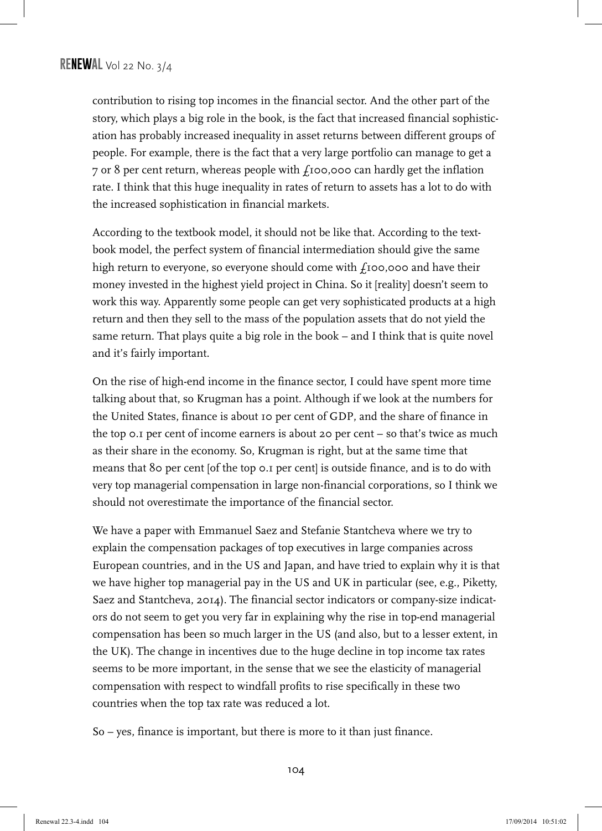contribution to rising top incomes in the financial sector. And the other part of the story, which plays a big role in the book, is the fact that increased financial sophistication has probably increased inequality in asset returns between different groups of people. For example, there is the fact that a very large portfolio can manage to get a 7 or 8 per cent return, whereas people with  $f_1$ 00,000 can hardly get the inflation rate. I think that this huge inequality in rates of return to assets has a lot to do with the increased sophistication in financial markets.

According to the textbook model, it should not be like that. According to the textbook model, the perfect system of financial intermediation should give the same high return to everyone, so everyone should come with  $f_1$ 00,000 and have their money invested in the highest yield project in China. So it [reality] doesn't seem to work this way. Apparently some people can get very sophisticated products at a high return and then they sell to the mass of the population assets that do not yield the same return. That plays quite a big role in the book – and I think that is quite novel and it's fairly important.

On the rise of high-end income in the finance sector, I could have spent more time talking about that, so Krugman has a point. Although if we look at the numbers for the United States, finance is about 10 per cent of GDP, and the share of finance in the top 0.1 per cent of income earners is about 20 per cent – so that's twice as much as their share in the economy. So, Krugman is right, but at the same time that means that 80 per cent [of the top 0.1 per cent] is outside finance, and is to do with very top managerial compensation in large non-financial corporations, so I think we should not overestimate the importance of the financial sector.

We have a paper with Emmanuel Saez and Stefanie Stantcheva where we try to explain the compensation packages of top executives in large companies across European countries, and in the US and Japan, and have tried to explain why it is that we have higher top managerial pay in the US and UK in particular (see, e.g., Piketty, Saez and Stantcheva, 2014). The financial sector indicators or company-size indicators do not seem to get you very far in explaining why the rise in top-end managerial compensation has been so much larger in the US (and also, but to a lesser extent, in the UK). The change in incentives due to the huge decline in top income tax rates seems to be more important, in the sense that we see the elasticity of managerial compensation with respect to windfall profits to rise specifically in these two countries when the top tax rate was reduced a lot.

So – yes, finance is important, but there is more to it than just finance.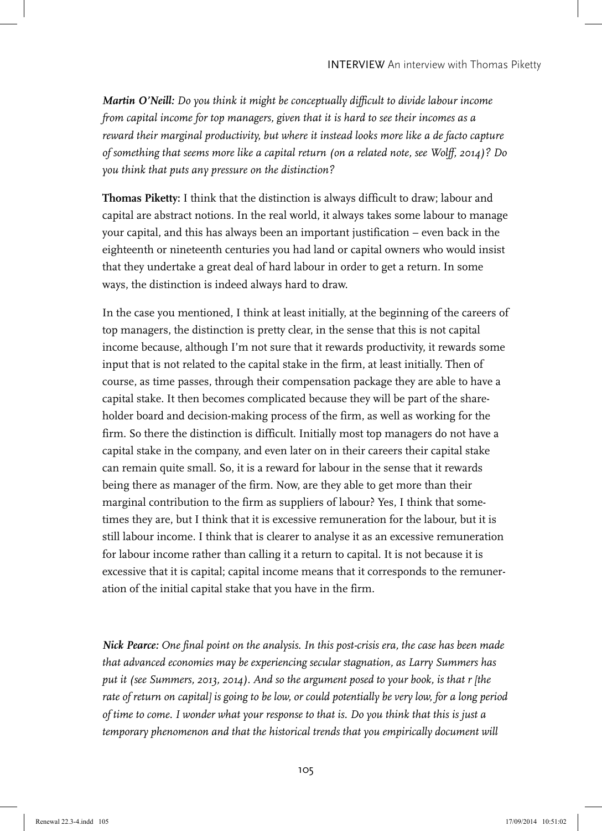*Martin O'Neill: Do you think it might be conceptually difficult to divide labour income from capital income for top managers, given that it is hard to see their incomes as a reward their marginal productivity, but where it instead looks more like a de facto capture of something that seems more like a capital return (on a related note, see Wolff, 2014)? Do you think that puts any pressure on the distinction?*

**Thomas Piketty:** I think that the distinction is always difficult to draw; labour and capital are abstract notions. In the real world, it always takes some labour to manage your capital, and this has always been an important justification – even back in the eighteenth or nineteenth centuries you had land or capital owners who would insist that they undertake a great deal of hard labour in order to get a return. In some ways, the distinction is indeed always hard to draw.

In the case you mentioned, I think at least initially, at the beginning of the careers of top managers, the distinction is pretty clear, in the sense that this is not capital income because, although I'm not sure that it rewards productivity, it rewards some input that is not related to the capital stake in the firm, at least initially. Then of course, as time passes, through their compensation package they are able to have a capital stake. It then becomes complicated because they will be part of the shareholder board and decision-making process of the firm, as well as working for the firm. So there the distinction is difficult. Initially most top managers do not have a capital stake in the company, and even later on in their careers their capital stake can remain quite small. So, it is a reward for labour in the sense that it rewards being there as manager of the firm. Now, are they able to get more than their marginal contribution to the firm as suppliers of labour? Yes, I think that sometimes they are, but I think that it is excessive remuneration for the labour, but it is still labour income. I think that is clearer to analyse it as an excessive remuneration for labour income rather than calling it a return to capital. It is not because it is excessive that it is capital; capital income means that it corresponds to the remuneration of the initial capital stake that you have in the firm.

*Nick Pearce: One final point on the analysis. In this post-crisis era, the case has been made that advanced economies may be experiencing secular stagnation, as Larry Summers has put it (see Summers, 2013, 2014). And so the argument posed to your book, is that r [the rate of return on capital] is going to be low, or could potentially be very low, for a long period of time to come. I wonder what your response to that is. Do you think that this is just a temporary phenomenon and that the historical trends that you empirically document will*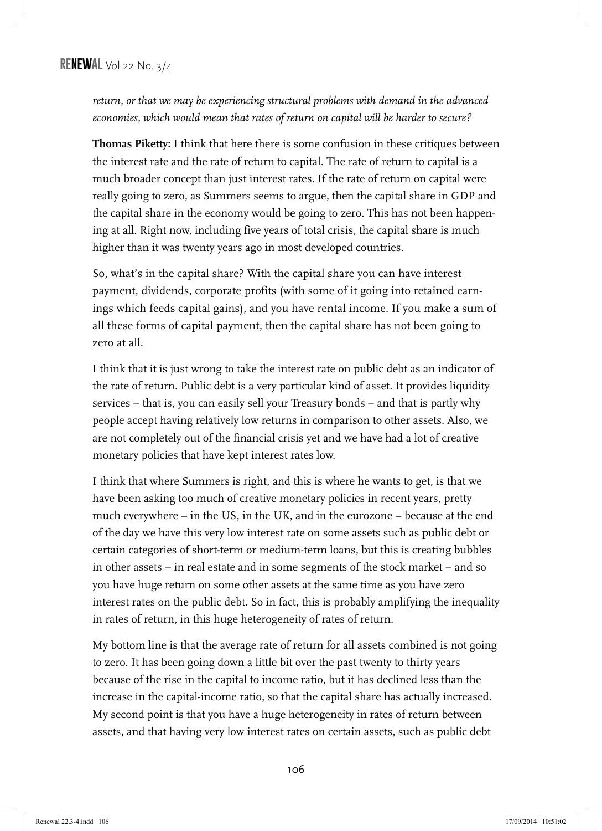*return, or that we may be experiencing structural problems with demand in the advanced economies, which would mean that rates of return on capital will be harder to secure?*

**Thomas Piketty:** I think that here there is some confusion in these critiques between the interest rate and the rate of return to capital. The rate of return to capital is a much broader concept than just interest rates. If the rate of return on capital were really going to zero, as Summers seems to argue, then the capital share in GDP and the capital share in the economy would be going to zero. This has not been happening at all. Right now, including five years of total crisis, the capital share is much higher than it was twenty years ago in most developed countries.

So, what's in the capital share? With the capital share you can have interest payment, dividends, corporate profits (with some of it going into retained earnings which feeds capital gains), and you have rental income. If you make a sum of all these forms of capital payment, then the capital share has not been going to zero at all.

I think that it is just wrong to take the interest rate on public debt as an indicator of the rate of return. Public debt is a very particular kind of asset. It provides liquidity services – that is, you can easily sell your Treasury bonds – and that is partly why people accept having relatively low returns in comparison to other assets. Also, we are not completely out of the financial crisis yet and we have had a lot of creative monetary policies that have kept interest rates low.

I think that where Summers is right, and this is where he wants to get, is that we have been asking too much of creative monetary policies in recent years, pretty much everywhere – in the US, in the UK, and in the eurozone – because at the end of the day we have this very low interest rate on some assets such as public debt or certain categories of short-term or medium-term loans, but this is creating bubbles in other assets – in real estate and in some segments of the stock market – and so you have huge return on some other assets at the same time as you have zero interest rates on the public debt. So in fact, this is probably amplifying the inequality in rates of return, in this huge heterogeneity of rates of return.

My bottom line is that the average rate of return for all assets combined is not going to zero. It has been going down a little bit over the past twenty to thirty years because of the rise in the capital to income ratio, but it has declined less than the increase in the capital-income ratio, so that the capital share has actually increased. My second point is that you have a huge heterogeneity in rates of return between assets, and that having very low interest rates on certain assets, such as public debt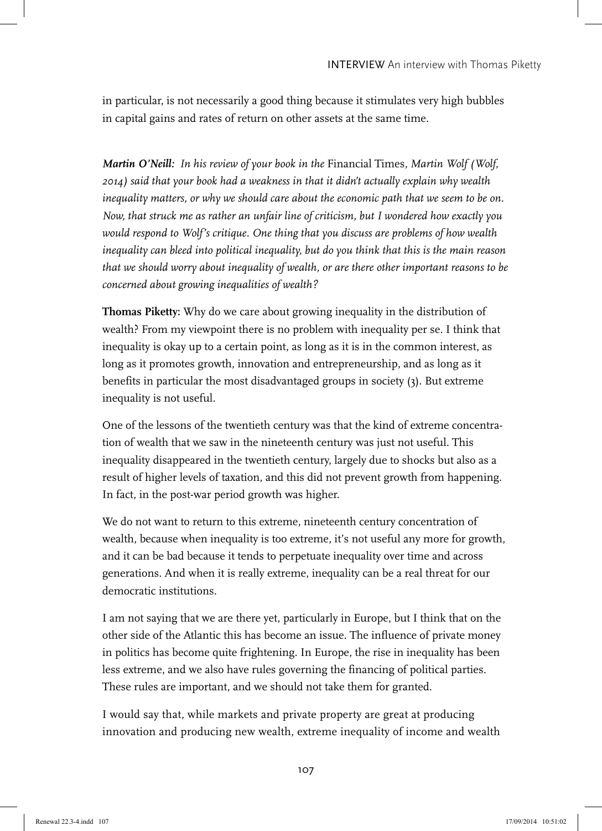in particular, is not necessarily a good thing because it stimulates very high bubbles in capital gains and rates of return on other assets at the same time.

*Martin O'Neill: In his review of your book in the* Financial Times*, Martin Wolf (Wolf, 2014) said that your book had a weakness in that it didn't actually explain why wealth inequality matters, or why we should care about the economic path that we seem to be on. Now, that struck me as rather an unfair line of criticism, but I wondered how exactly you would respond to Wolf's critique. One thing that you discuss are problems of how wealth inequality can bleed into political inequality, but do you think that this is the main reason that we should worry about inequality of wealth, or are there other important reasons to be concerned about growing inequalities of wealth?*

**Thomas Piketty:** Why do we care about growing inequality in the distribution of wealth? From my viewpoint there is no problem with inequality per se. I think that inequality is okay up to a certain point, as long as it is in the common interest, as long as it promotes growth, innovation and entrepreneurship, and as long as it benefits in particular the most disadvantaged groups in society (3). But extreme inequality is not useful.

One of the lessons of the twentieth century was that the kind of extreme concentration of wealth that we saw in the nineteenth century was just not useful. This inequality disappeared in the twentieth century, largely due to shocks but also as a result of higher levels of taxation, and this did not prevent growth from happening. In fact, in the post-war period growth was higher.

We do not want to return to this extreme, nineteenth century concentration of wealth, because when inequality is too extreme, it's not useful any more for growth, and it can be bad because it tends to perpetuate inequality over time and across generations. And when it is really extreme, inequality can be a real threat for our democratic institutions.

I am not saying that we are there yet, particularly in Europe, but I think that on the other side of the Atlantic this has become an issue. The influence of private money in politics has become quite frightening. In Europe, the rise in inequality has been less extreme, and we also have rules governing the financing of political parties. These rules are important, and we should not take them for granted.

I would say that, while markets and private property are great at producing innovation and producing new wealth, extreme inequality of income and wealth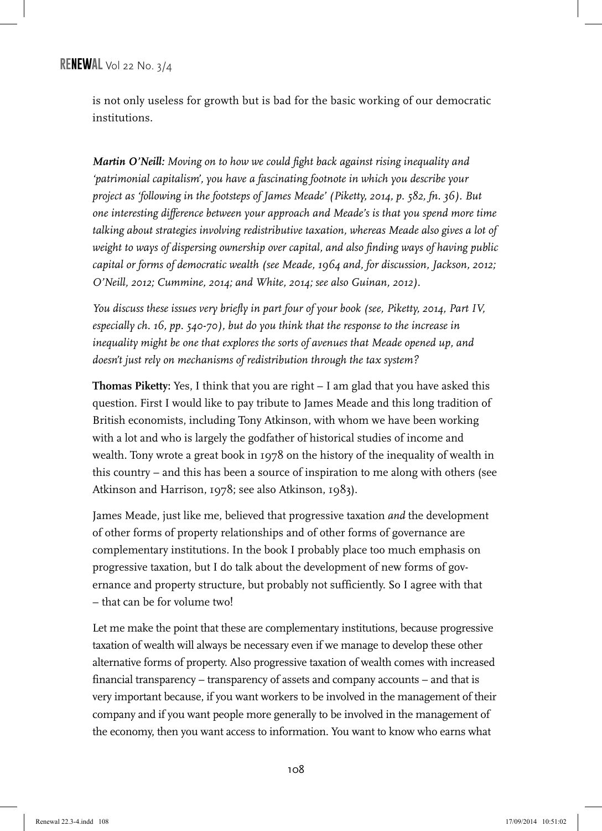is not only useless for growth but is bad for the basic working of our democratic institutions.

*Martin O'Neill: Moving on to how we could fight back against rising inequality and 'patrimonial capitalism', you have a fascinating footnote in which you describe your project as 'following in the footsteps of James Meade' (Piketty, 2014, p. 582, fn. 36). But one interesting difference between your approach and Meade's is that you spend more time talking about strategies involving redistributive taxation, whereas Meade also gives a lot of weight to ways of dispersing ownership over capital, and also finding ways of having public capital or forms of democratic wealth (see Meade, 1964 and, for discussion, Jackson, 2012; O'Neill, 2012; Cummine, 2014; and White, 2014; see also Guinan, 2012).*

*You discuss these issues very briefly in part four of your book (see, Piketty, 2014, Part IV, especially ch. 16, pp. 540-70), but do you think that the response to the increase in inequality might be one that explores the sorts of avenues that Meade opened up, and doesn't just rely on mechanisms of redistribution through the tax system?* 

**Thomas Piketty:** Yes, I think that you are right – I am glad that you have asked this question. First I would like to pay tribute to James Meade and this long tradition of British economists, including Tony Atkinson, with whom we have been working with a lot and who is largely the godfather of historical studies of income and wealth. Tony wrote a great book in 1978 on the history of the inequality of wealth in this country – and this has been a source of inspiration to me along with others (see Atkinson and Harrison, 1978; see also Atkinson, 1983).

James Meade, just like me, believed that progressive taxation *and* the development of other forms of property relationships and of other forms of governance are complementary institutions. In the book I probably place too much emphasis on progressive taxation, but I do talk about the development of new forms of governance and property structure, but probably not sufficiently. So I agree with that – that can be for volume two!

Let me make the point that these are complementary institutions, because progressive taxation of wealth will always be necessary even if we manage to develop these other alternative forms of property. Also progressive taxation of wealth comes with increased financial transparency – transparency of assets and company accounts – and that is very important because, if you want workers to be involved in the management of their company and if you want people more generally to be involved in the management of the economy, then you want access to information. You want to know who earns what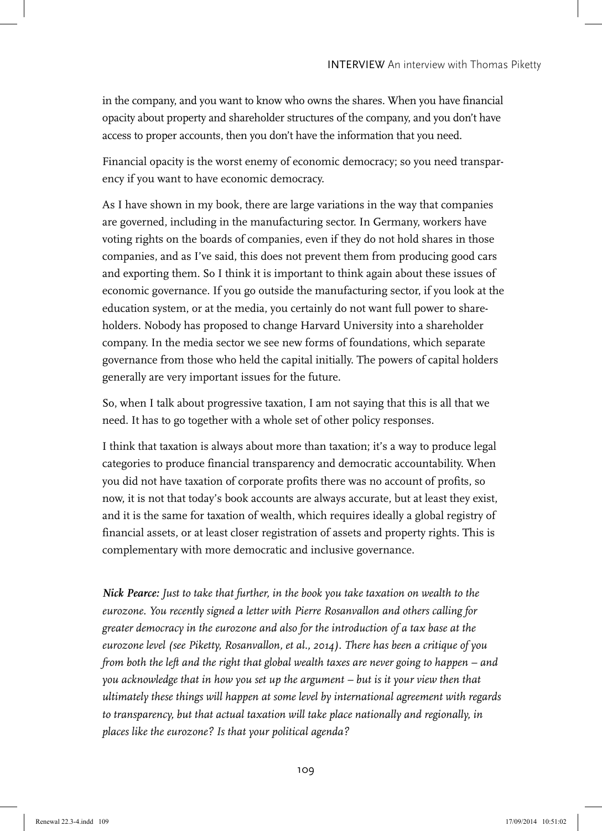in the company, and you want to know who owns the shares. When you have financial opacity about property and shareholder structures of the company, and you don't have access to proper accounts, then you don't have the information that you need.

Financial opacity is the worst enemy of economic democracy; so you need transparency if you want to have economic democracy.

As I have shown in my book, there are large variations in the way that companies are governed, including in the manufacturing sector. In Germany, workers have voting rights on the boards of companies, even if they do not hold shares in those companies, and as I've said, this does not prevent them from producing good cars and exporting them. So I think it is important to think again about these issues of economic governance. If you go outside the manufacturing sector, if you look at the education system, or at the media, you certainly do not want full power to shareholders. Nobody has proposed to change Harvard University into a shareholder company. In the media sector we see new forms of foundations, which separate governance from those who held the capital initially. The powers of capital holders generally are very important issues for the future.

So, when I talk about progressive taxation, I am not saying that this is all that we need. It has to go together with a whole set of other policy responses.

I think that taxation is always about more than taxation; it's a way to produce legal categories to produce financial transparency and democratic accountability. When you did not have taxation of corporate profits there was no account of profits, so now, it is not that today's book accounts are always accurate, but at least they exist, and it is the same for taxation of wealth, which requires ideally a global registry of financial assets, or at least closer registration of assets and property rights. This is complementary with more democratic and inclusive governance.

*Nick Pearce: Just to take that further, in the book you take taxation on wealth to the eurozone. You recently signed a letter with Pierre Rosanvallon and others calling for greater democracy in the eurozone and also for the introduction of a tax base at the eurozone level (see Piketty, Rosanvallon, et al., 2014). There has been a critique of you from both the left and the right that global wealth taxes are never going to happen – and you acknowledge that in how you set up the argument – but is it your view then that ultimately these things will happen at some level by international agreement with regards to transparency, but that actual taxation will take place nationally and regionally, in places like the eurozone? Is that your political agenda?*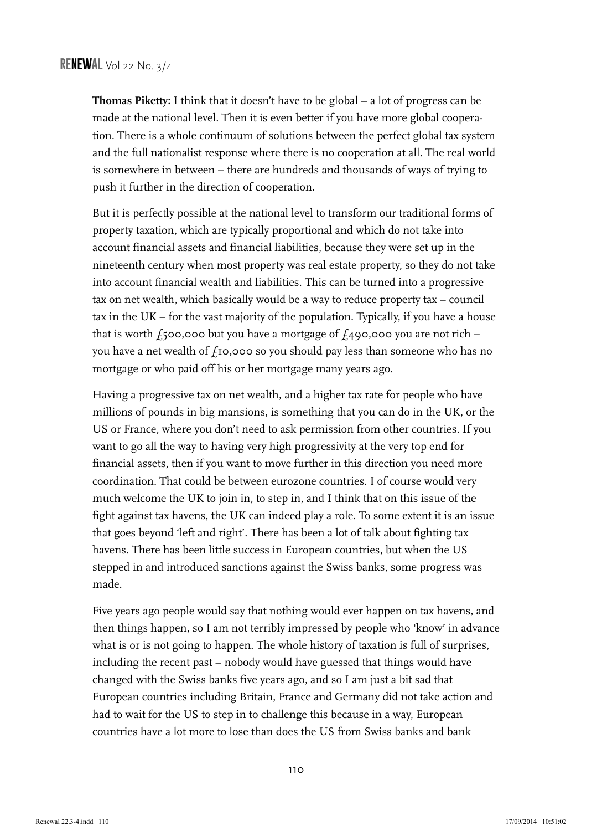**Thomas Piketty:** I think that it doesn't have to be global – a lot of progress can be made at the national level. Then it is even better if you have more global cooperation. There is a whole continuum of solutions between the perfect global tax system and the full nationalist response where there is no cooperation at all. The real world is somewhere in between – there are hundreds and thousands of ways of trying to push it further in the direction of cooperation.

But it is perfectly possible at the national level to transform our traditional forms of property taxation, which are typically proportional and which do not take into account financial assets and financial liabilities, because they were set up in the nineteenth century when most property was real estate property, so they do not take into account financial wealth and liabilities. This can be turned into a progressive tax on net wealth, which basically would be a way to reduce property tax – council tax in the UK – for the vast majority of the population. Typically, if you have a house that is worth  $f_5$ 00,000 but you have a mortgage of  $f_4$ 90,000 you are not rich – you have a net wealth of  $f_1$ 0,000 so you should pay less than someone who has no mortgage or who paid off his or her mortgage many years ago.

Having a progressive tax on net wealth, and a higher tax rate for people who have millions of pounds in big mansions, is something that you can do in the UK, or the US or France, where you don't need to ask permission from other countries. If you want to go all the way to having very high progressivity at the very top end for financial assets, then if you want to move further in this direction you need more coordination. That could be between eurozone countries. I of course would very much welcome the UK to join in, to step in, and I think that on this issue of the fight against tax havens, the UK can indeed play a role. To some extent it is an issue that goes beyond 'left and right'. There has been a lot of talk about fighting tax havens. There has been little success in European countries, but when the US stepped in and introduced sanctions against the Swiss banks, some progress was made.

Five years ago people would say that nothing would ever happen on tax havens, and then things happen, so I am not terribly impressed by people who 'know' in advance what is or is not going to happen. The whole history of taxation is full of surprises, including the recent past – nobody would have guessed that things would have changed with the Swiss banks five years ago, and so I am just a bit sad that European countries including Britain, France and Germany did not take action and had to wait for the US to step in to challenge this because in a way, European countries have a lot more to lose than does the US from Swiss banks and bank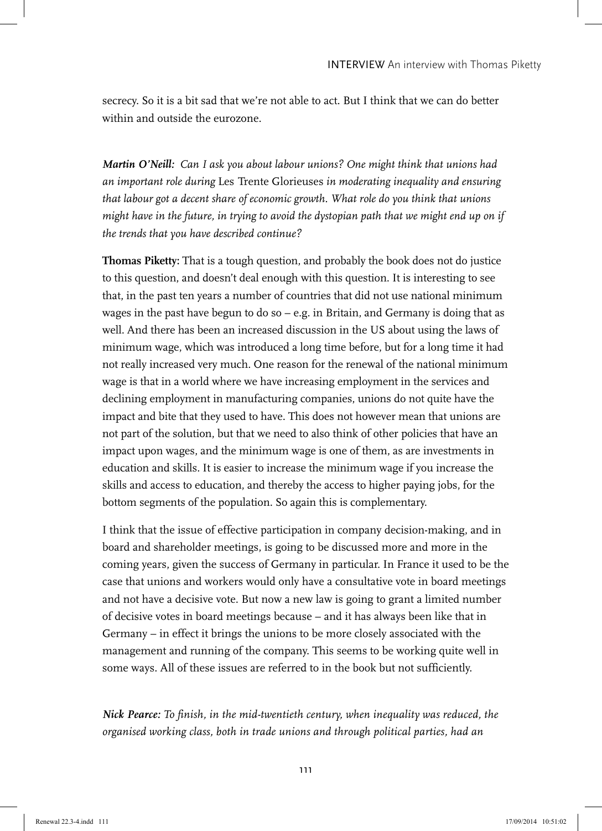secrecy. So it is a bit sad that we're not able to act. But I think that we can do better within and outside the eurozone.

*Martin O'Neill: Can I ask you about labour unions? One might think that unions had an important role during* Les Trente Glorieuses *in moderating inequality and ensuring that labour got a decent share of economic growth. What role do you think that unions might have in the future, in trying to avoid the dystopian path that we might end up on if the trends that you have described continue?*

**Thomas Piketty:** That is a tough question, and probably the book does not do justice to this question, and doesn't deal enough with this question. It is interesting to see that, in the past ten years a number of countries that did not use national minimum wages in the past have begun to do so  $-$  e.g. in Britain, and Germany is doing that as well. And there has been an increased discussion in the US about using the laws of minimum wage, which was introduced a long time before, but for a long time it had not really increased very much. One reason for the renewal of the national minimum wage is that in a world where we have increasing employment in the services and declining employment in manufacturing companies, unions do not quite have the impact and bite that they used to have. This does not however mean that unions are not part of the solution, but that we need to also think of other policies that have an impact upon wages, and the minimum wage is one of them, as are investments in education and skills. It is easier to increase the minimum wage if you increase the skills and access to education, and thereby the access to higher paying jobs, for the bottom segments of the population. So again this is complementary.

I think that the issue of effective participation in company decision-making, and in board and shareholder meetings, is going to be discussed more and more in the coming years, given the success of Germany in particular. In France it used to be the case that unions and workers would only have a consultative vote in board meetings and not have a decisive vote. But now a new law is going to grant a limited number of decisive votes in board meetings because – and it has always been like that in Germany – in effect it brings the unions to be more closely associated with the management and running of the company. This seems to be working quite well in some ways. All of these issues are referred to in the book but not sufficiently.

*Nick Pearce: To finish, in the mid-twentieth century, when inequality was reduced, the organised working class, both in trade unions and through political parties, had an*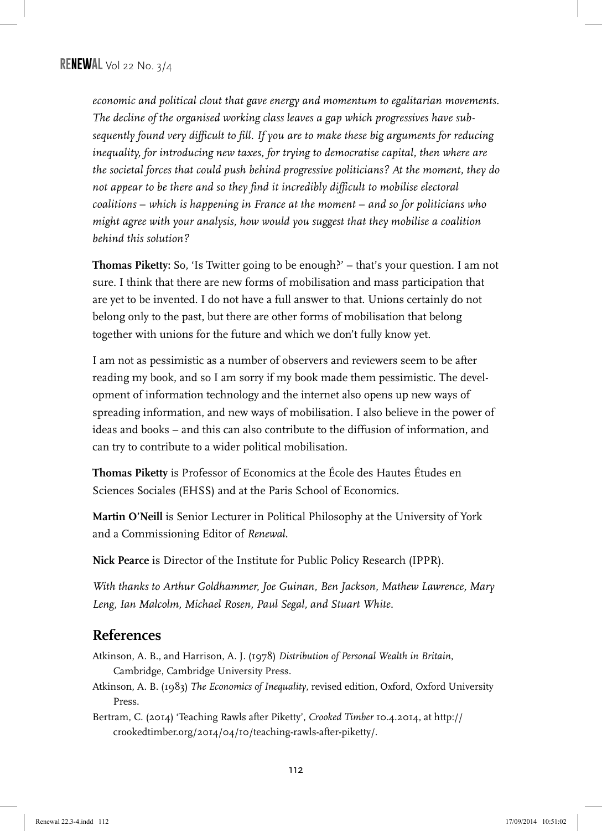*economic and political clout that gave energy and momentum to egalitarian movements. The decline of the organised working class leaves a gap which progressives have subsequently found very difficult to fill. If you are to make these big arguments for reducing inequality, for introducing new taxes, for trying to democratise capital, then where are the societal forces that could push behind progressive politicians? At the moment, they do not appear to be there and so they find it incredibly difficult to mobilise electoral coalitions* – *which is happening in France at the moment* – *and so for politicians who might agree with your analysis, how would you suggest that they mobilise a coalition behind this solution?* 

**Thomas Piketty:** So, 'Is Twitter going to be enough?' – that's your question. I am not sure. I think that there are new forms of mobilisation and mass participation that are yet to be invented. I do not have a full answer to that. Unions certainly do not belong only to the past, but there are other forms of mobilisation that belong together with unions for the future and which we don't fully know yet.

I am not as pessimistic as a number of observers and reviewers seem to be after reading my book, and so I am sorry if my book made them pessimistic. The development of information technology and the internet also opens up new ways of spreading information, and new ways of mobilisation. I also believe in the power of ideas and books – and this can also contribute to the diffusion of information, and can try to contribute to a wider political mobilisation.

**Thomas Piketty** is Professor of Economics at the École des Hautes Études en Sciences Sociales (EHSS) and at the Paris School of Economics.

**Martin O'Neill** is Senior Lecturer in Political Philosophy at the University of York and a Commissioning Editor of *Renewal*.

**Nick Pearce** is Director of the Institute for Public Policy Research (IPPR).

*With thanks to Arthur Goldhammer, Joe Guinan, Ben Jackson, Mathew Lawrence, Mary Leng, Ian Malcolm, Michael Rosen, Paul Segal, and Stuart White.*

## **References**

- Atkinson, A. B., and Harrison, A. J. (1978) *Distribution of Personal Wealth in Britain*, Cambridge, Cambridge University Press.
- Atkinson, A. B. (1983) *The Economics of Inequality*, revised edition, Oxford, Oxford University Press.
- Bertram, C. (2014) 'Teaching Rawls after Piketty', *Crooked Timber* 10.4.2014, at http:// crookedtimber.org/2014/04/10/teaching-rawls-after-piketty/.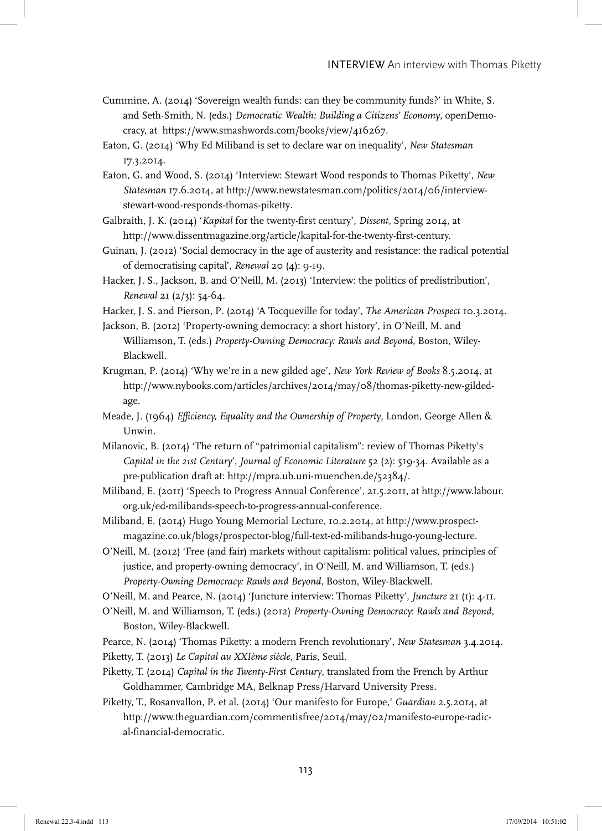- Cummine, A. (2014) 'Sovereign wealth funds: can they be community funds?' in White, S. and Seth-Smith, N. (eds.) *Democratic Wealth: Building a Citizens' Economy*, openDemocracy, at https://www.smashwords.com/books/view/416267.
- Eaton, G. (2014) 'Why Ed Miliband is set to declare war on inequality', *New Statesman* 17.3.2014.
- Eaton, G. and Wood, S. (2014) 'Interview: Stewart Wood responds to Thomas Piketty', *New Statesman* 17.6.2014, at http://www.newstatesman.com/politics/2014/06/interviewstewart-wood-responds-thomas-piketty.
- Galbraith, J. K. (2014) '*Kapital* for the twenty-first century', *Dissent*, Spring 2014, at http://www.dissentmagazine.org/article/kapital-for-the-twenty-first-century.
- Guinan, J. (2012) 'Social democracy in the age of austerity and resistance: the radical potential of democratising capital', *Renewal* 20 (4): 9-19.
- Hacker, J. S., Jackson, B. and O'Neill, M. (2013) 'Interview: the politics of predistribution', *Renewal* 21 (2/3): 54-64.
- Hacker, J. S. and Pierson, P. (2014) 'A Tocqueville for today', *The American Prospect* 10.3.2014.
- Jackson, B. (2012) 'Property-owning democracy: a short history', in O'Neill, M. and Williamson, T. (eds.) *Property-Owning Democracy: Rawls and Beyond*, Boston, Wiley-Blackwell.
- Krugman, P. (2014) 'Why we're in a new gilded age', *New York Review of Books* 8.5.2014, at http://www.nybooks.com/articles/archives/2014/may/08/thomas-piketty-new-gildedage.
- Meade, J. (1964) *Efficiency, Equality and the Ownership of Property*, London, George Allen & Unwin.
- Milanovic, B. (2014) 'The return of "patrimonial capitalism": review of Thomas Piketty's *Capital in the 21st Century*', *Journal of Economic Literature* 52 (2): 519-34. Available as a pre-publication draft at: http://mpra.ub.uni-muenchen.de/52384/.
- Miliband, E. (2011) 'Speech to Progress Annual Conference', 21.5.2011, at http://www.labour. org.uk/ed-milibands-speech-to-progress-annual-conference.
- Miliband, E. (2014) Hugo Young Memorial Lecture, 10.2.2014, at http://www.prospectmagazine.co.uk/blogs/prospector-blog/full-text-ed-milibands-hugo-young-lecture.
- O'Neill, M. (2012) 'Free (and fair) markets without capitalism: political values, principles of justice, and property-owning democracy', in O'Neill, M. and Williamson, T. (eds.) *Property-Owning Democracy: Rawls and Beyond*, Boston, Wiley-Blackwell.
- O'Neill, M. and Pearce, N. (2014) 'Juncture interview: Thomas Piketty', *Juncture* 21 (1): 4-11.
- O'Neill, M. and Williamson, T. (eds.) (2012) *Property-Owning Democracy: Rawls and Beyond*, Boston, Wiley-Blackwell.
- Pearce, N. (2014) 'Thomas Piketty: a modern French revolutionary', *New Statesman* 3.4.2014. Piketty, T. (2013) *Le Capital au XXIème siècle*, Paris, Seuil.
- Piketty, T. (2014) *Capital in the Twenty-First Century*, translated from the French by Arthur Goldhammer, Cambridge MA, Belknap Press/Harvard University Press.
- Piketty, T., Rosanvallon, P. et al. (2014) 'Our manifesto for Europe,' *Guardian* 2.5.2014, at http://www.theguardian.com/commentisfree/2014/may/02/manifesto-europe-radical-financial-democratic.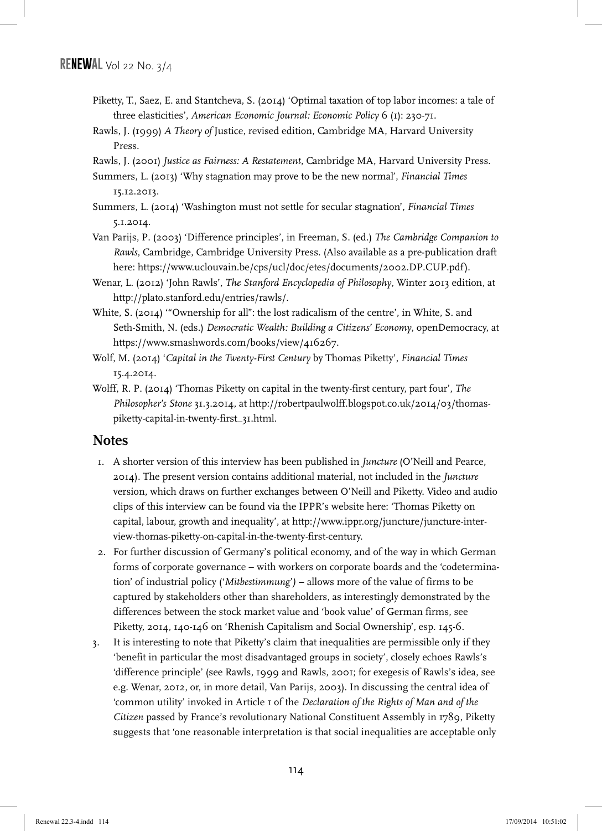- Piketty, T., Saez, E. and Stantcheva, S. (2014) 'Optimal taxation of top labor incomes: a tale of three elasticities', *American Economic Journal: Economic Policy* 6 (1): 230-71.
- Rawls, J. (1999) *A Theory of* Justice, revised edition, Cambridge MA, Harvard University Press.

Rawls, J. (2001) *Justice as Fairness: A Restatement*, Cambridge MA, Harvard University Press.

Summers, L. (2013) 'Why stagnation may prove to be the new normal', *Financial Times* 15.12.2013.

- Summers, L. (2014) 'Washington must not settle for secular stagnation', *Financial Times* 5.1.2014.
- Van Parijs, P. (2003) 'Difference principles', in Freeman, S. (ed.) *The Cambridge Companion to Rawls*, Cambridge, Cambridge University Press. (Also available as a pre-publication draft here: https://www.uclouvain.be/cps/ucl/doc/etes/documents/2002.DP.CUP.pdf).
- Wenar, L. (2012) 'John Rawls', *The Stanford Encyclopedia of Philosophy*, Winter 2013 edition, at http://plato.stanford.edu/entries/rawls/.
- White, S. (2014) '"Ownership for all": the lost radicalism of the centre', in White, S. and Seth-Smith, N. (eds.) *Democratic Wealth: Building a Citizens' Economy*, openDemocracy, at https://www.smashwords.com/books/view/416267.
- Wolf, M. (2014) '*Capital in the Twenty-First Century* by Thomas Piketty', *Financial Times* 15.4.2014.
- Wolff, R. P. (2014) 'Thomas Piketty on capital in the twenty-first century, part four', *The Philosopher's Stone* 31.3.2014, at http://robertpaulwolff.blogspot.co.uk/2014/03/thomaspiketty-capital-in-twenty-first\_31.html.

## **Notes**

- 1. A shorter version of this interview has been published in *Juncture* (O'Neill and Pearce, 2014). The present version contains additional material, not included in the *Juncture*  version, which draws on further exchanges between O'Neill and Piketty. Video and audio clips of this interview can be found via the IPPR's website here: 'Thomas Piketty on capital, labour, growth and inequality', at http://www.ippr.org/juncture/juncture-interview-thomas-piketty-on-capital-in-the-twenty-first-century.
- 2. For further discussion of Germany's political economy, and of the way in which German forms of corporate governance – with workers on corporate boards and the 'codetermination' of industrial policy ('*Mitbestimmung')* – allows more of the value of firms to be captured by stakeholders other than shareholders, as interestingly demonstrated by the differences between the stock market value and 'book value' of German firms, see Piketty, 2014, 140-146 on 'Rhenish Capitalism and Social Ownership', esp. 145-6.
- 3. It is interesting to note that Piketty's claim that inequalities are permissible only if they 'benefit in particular the most disadvantaged groups in society', closely echoes Rawls's 'difference principle' (see Rawls, 1999 and Rawls, 2001; for exegesis of Rawls's idea, see e.g. Wenar, 2012, or, in more detail, Van Parijs, 2003). In discussing the central idea of 'common utility' invoked in Article 1 of the *Declaration of the Rights of Man and of the Citizen* passed by France's revolutionary National Constituent Assembly in 1789, Piketty suggests that 'one reasonable interpretation is that social inequalities are acceptable only